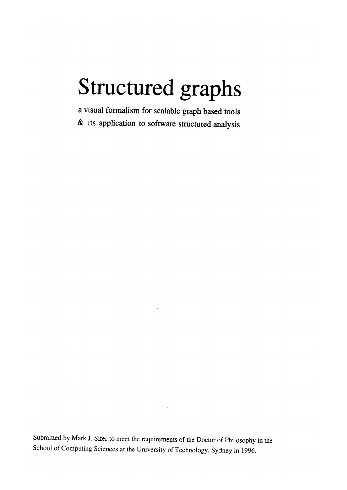# Structured graphs

a visual formalism for scalable graph based tools & its application to software structured analysis

Submitted by Mark J. Sifer to meet the requirements of the Doctor of Philosophy in the School of Computing Sciences at the University of Technology, Sydney in 1996.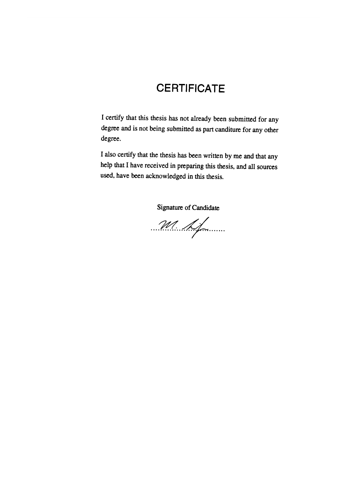### **CERTIFICATE**

I certify that this thesis has not already been submitted for any degree and is not being submitted as part canditure for any other degree.

I also certify that the thesis has been written by me and that any help that I have received in preparing this thesis, and all sources used, have been acknowledged in this thesis.

Signature of Candidate

........... ~A"/ · ... ~.;;r·······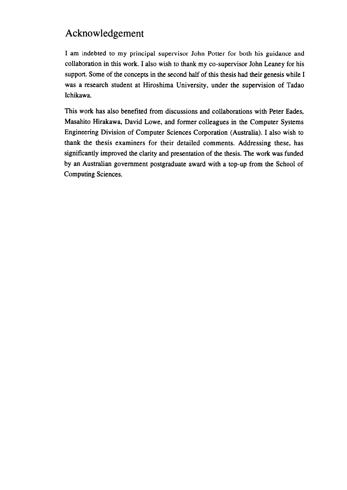#### **Acknowledgement**

I am indebted to my principal supervisor John Potter for both his guidance and collaboration in this work. I also wish to thank my eo-supervisor John Leaney for his support. Some of the concepts in the second half of this thesis had their genesis while I was a research student at Hiroshima University, under the supervision of Tadao Ichikawa.

This work has also benefited from discussions and collaborations with Peter Eades, Masahito Hirakawa, David Lowe, and former colleagues in the Computer Systems Engineering Division of Computer Sciences Corporation (Australia). I also wish to thank the thesis examiners for their detailed comments. Addressing these, has significantly improved the clarity and presentation of the thesis. The work was funded by an Australian government postgraduate award with a top-up from the School of Computing Sciences.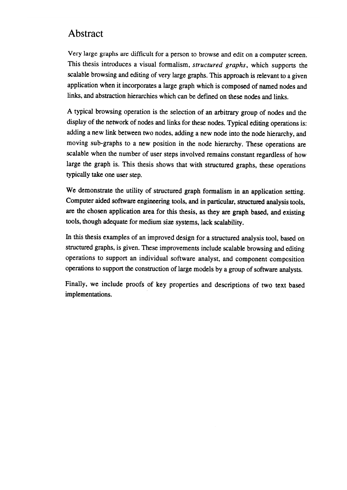#### Abstract

Very large graphs are difficult for a person to browse and edit on a computer screen. This thesis introduces a visual formalism, *structured graphs,* which supports the scalable browsing and editing of very large graphs. This approach is relevant to a given application when it incorporates a large graph which is composed of named nodes and links, and abstraction hierarchies which can be defmed on these nodes and links.

A typical browsing operation is the selection of an arbitrary group of nodes and the display of the network of nodes and links for these nodes. Typical editing operations is: adding a new link between two nodes, adding a new node into the node hierarchy, and moving sub-graphs to a new position in the node hierarchy. These operations are scalable when the number of user steps involved remains constant regardless of how large the graph is. This thesis shows that with structured graphs, these operations typically take one user step.

We demonstrate the utility of structured graph formalism in an application setting. Computer aided software engineering tools, and in particular, structured analysis tools, are the chosen application area for this thesis, as they are graph based, and existing tools, though adequate for medium size systems, lack scalability.

In this thesis examples of an improved design for a structured analysis tool, based on structured graphs, is given. These improvements include scalable browsing and editing operations to support an individual software analyst, and component composition operations to support the construction of large models by a group of software analysts.

Finally, we include proofs of key properties and descriptions of two text based implementations.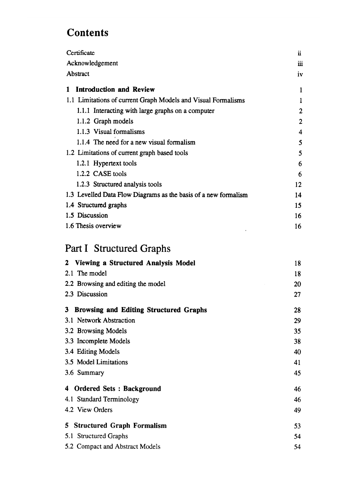## **Contents**

| Certificate                                                            |          |  |
|------------------------------------------------------------------------|----------|--|
| Acknowledgement                                                        |          |  |
| Abstract                                                               | iv       |  |
| <b>Introduction and Review</b><br>1                                    | 1        |  |
| 1.1 Limitations of current Graph Models and Visual Formalisms          | 1        |  |
| 1.1.1 Interacting with large graphs on a computer                      | 2        |  |
| 1.1.2 Graph models                                                     | 2        |  |
| 1.1.3 Visual formalisms                                                | 4        |  |
| 1.1.4 The need for a new visual formalism                              | 5        |  |
| 1.2 Limitations of current graph based tools                           | 5        |  |
| 1.2.1 Hypertext tools                                                  | 6        |  |
| 1.2.2 CASE tools                                                       | 6        |  |
| 1.2.3 Structured analysis tools                                        | 12       |  |
| 1.3 Levelled Data Flow Diagrams as the basis of a new formalism        | 14       |  |
| 1.4 Structured graphs                                                  | 15       |  |
| 1.5 Discussion                                                         | 16       |  |
| 1.6 Thesis overview                                                    | 16       |  |
| Part I Structured Graphs                                               |          |  |
|                                                                        |          |  |
|                                                                        |          |  |
| Viewing a Structured Analysis Model<br>$\mathbf{2}^-$<br>2.1 The model | 18       |  |
|                                                                        | 18<br>20 |  |
| 2.2 Browsing and editing the model<br>2.3 Discussion                   | 27       |  |
| <b>Browsing and Editing Structured Graphs</b><br>3                     | 28       |  |
| 3.1 Network Abstraction                                                | 29       |  |
| 3.2 Browsing Models                                                    | 35       |  |
| 3.3 Incomplete Models                                                  | 38       |  |
| 3.4 Editing Models                                                     | 40       |  |
| 3.5 Model Limitations                                                  | 41       |  |
| 3.6 Summary                                                            | 45       |  |
| <b>Ordered Sets: Background</b><br>4                                   | 46       |  |
| 4.1 Standard Terminology                                               | 46       |  |
| 4.2 View Orders                                                        | 49       |  |
| <b>Structured Graph Formalism</b><br>5.                                | 53       |  |
| 5.1 Structured Graphs                                                  | 54       |  |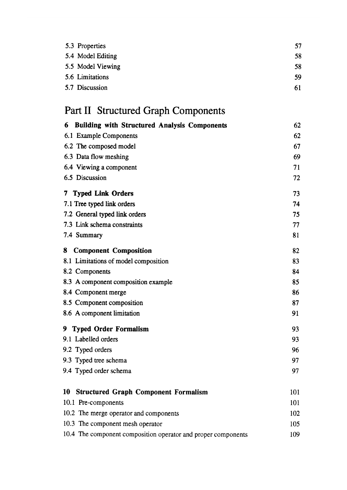| 5.3 Properties    | 57 |
|-------------------|----|
| 5.4 Model Editing | 58 |
| 5.5 Model Viewing | 58 |
| 5.6 Limitations   | 59 |
| 5.7 Discussion    | 61 |

# Part 11 Structured Graph Components

| <b>Building with Structured Analysis Components</b><br>6      | 62  |
|---------------------------------------------------------------|-----|
| 6.1 Example Components                                        | 62  |
| 6.2 The composed model                                        | 67  |
| 6.3 Data flow meshing                                         | 69  |
| 6.4 Viewing a component                                       | 71  |
| 6.5 Discussion                                                | 72  |
| 7 Typed Link Orders                                           | 73  |
| 7.1 Tree typed link orders                                    | 74  |
| 7.2 General typed link orders                                 | 75  |
| 7.3 Link schema constraints                                   | 77  |
| 7.4 Summary                                                   | 81  |
| <b>Component Composition</b><br>8                             | 82  |
| 8.1 Limitations of model composition                          | 83  |
| 8.2 Components                                                | 84  |
| 8.3 A component composition example                           | 85  |
| 8.4 Component merge                                           | 86  |
| 8.5 Component composition                                     | 87  |
| 8.6 A component limitation                                    | 91  |
| 9 Typed Order Formalism                                       | 93  |
| 9.1 Labelled orders                                           | 93  |
| 9.2 Typed orders                                              | 96  |
| 9.3 Typed tree schema                                         | 97  |
| 9.4 Typed order schema                                        | 97  |
| <b>Structured Graph Component Formalism</b><br>10             | 101 |
| 10.1 Pre-components                                           | 101 |
| 10.2 The merge operator and components                        | 102 |
| 10.3 The component mesh operator                              | 105 |
| 10.4 The component composition operator and proper components | 109 |